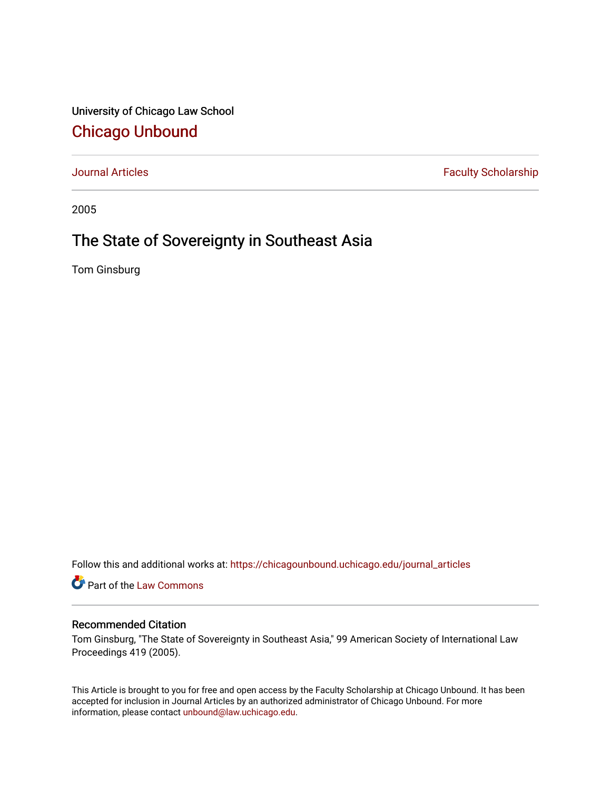University of Chicago Law School [Chicago Unbound](https://chicagounbound.uchicago.edu/)

[Journal Articles](https://chicagounbound.uchicago.edu/journal_articles) **Faculty Scholarship Faculty Scholarship** 

2005

# The State of Sovereignty in Southeast Asia

Tom Ginsburg

Follow this and additional works at: [https://chicagounbound.uchicago.edu/journal\\_articles](https://chicagounbound.uchicago.edu/journal_articles?utm_source=chicagounbound.uchicago.edu%2Fjournal_articles%2F4209&utm_medium=PDF&utm_campaign=PDFCoverPages) 

Part of the [Law Commons](http://network.bepress.com/hgg/discipline/578?utm_source=chicagounbound.uchicago.edu%2Fjournal_articles%2F4209&utm_medium=PDF&utm_campaign=PDFCoverPages)

### Recommended Citation

Tom Ginsburg, "The State of Sovereignty in Southeast Asia," 99 American Society of International Law Proceedings 419 (2005).

This Article is brought to you for free and open access by the Faculty Scholarship at Chicago Unbound. It has been accepted for inclusion in Journal Articles by an authorized administrator of Chicago Unbound. For more information, please contact [unbound@law.uchicago.edu](mailto:unbound@law.uchicago.edu).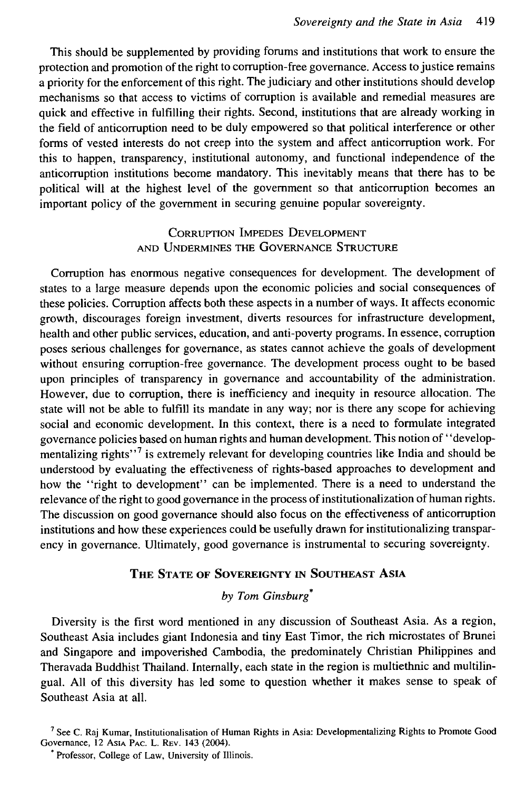This should be supplemented by providing forums and institutions that work to ensure the protection and promotion of the right to corruption-free governance. Access to justice remains a priority for the enforcement of this right. The judiciary and other institutions should develop mechanisms so that access to victims of corruption is available and remedial measures are quick and effective in fulfilling their rights. Second, institutions that are already working in the field of anticorruption need to be duly empowered so that political interference or other forms of vested interests do not creep into the system and affect anticorruption work. For this to happen, transparency, institutional autonomy, and functional independence of the anticorruption institutions become mandatory. This inevitably means that there has to be political will at the highest level of the government so that anticorruption becomes an important policy of the government in securing genuine popular sovereignty.

#### CORRUPTION IMPEDES DEVELOPMENT **AND** UNDERMINES THE GOVERNANCE STRUCTURE

Corruption has enormous negative consequences for development. The development of states to a large measure depends upon the economic policies and social consequences of these policies. Corruption affects both these aspects in a number of ways. It affects economic growth, discourages foreign investment, diverts resources for infrastructure development, health and other public services, education, and anti-poverty programs. In essence, corruption poses serious challenges for governance, as states cannot achieve the goals of development without ensuring corruption-free governance. The development process ought to be based upon principles of transparency in governance and accountability of the administration. However, due to corruption, there is inefficiency and inequity in resource allocation. The state will not be able to fulfill its mandate in any way; nor is there any scope for achieving social and economic development. In this context, there is a need to formulate integrated governance policies based on human rights and human development. This notion of "developmentalizing rights'<sup> $\frac{7}{1}$ </sup> is extremely relevant for developing countries like India and should be understood by evaluating the effectiveness of rights-based approaches to development and how the "right to development" can be implemented. There is a need to understand the relevance of the right to good governance in the process of institutionalization of human rights. The discussion on good governance should also focus on the effectiveness of anticorruption institutions and how these experiences could be usefully drawn for institutionalizing transparency in governance. Ultimately, good governance is instrumental to securing sovereignty.

#### **THE STATE OF SOVEREIGNTY IN SOUTHEAST** AsIA

## *by Tom Ginsburg\**

Diversity is the first word mentioned in any discussion of Southeast Asia. As a region, Southeast Asia includes giant Indonesia and tiny East Timor, the rich microstates of Brunei and Singapore and impoverished Cambodia, the predominately Christian Philippines and Theravada Buddhist Thailand. Internally, each state in the region is multiethnic and multilingual. **All** of this diversity has led some to question whether it makes sense to speak of Southeast Asia at all.

**<sup>7</sup>** See **C.** Raj Kumar, Institutionalisation of Human Rights in Asia: Developmentalizing Rights to Promote Good Governance, **12 AsIA PAC.** L. REv. 143 (2004). **\*** Professor, College of Law, University of Illinois.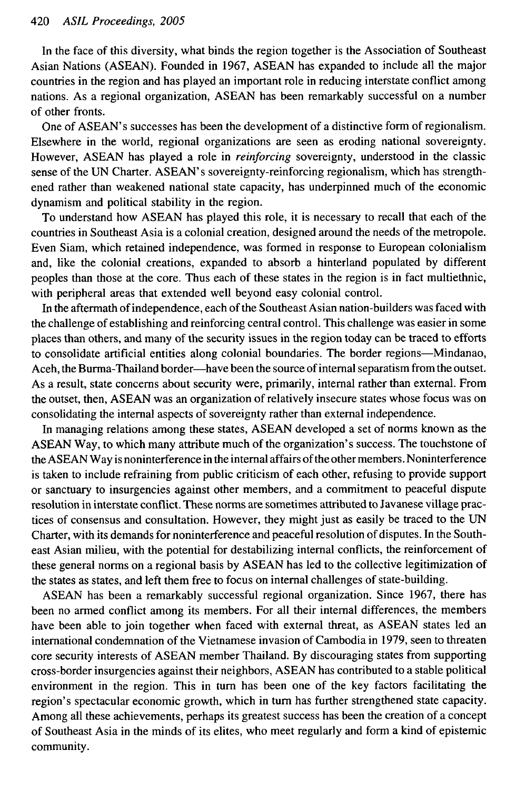In the face of this diversity, what binds the region together is the Association of Southeast Asian Nations (ASEAN). Founded in 1967, ASEAN has expanded to include all the major countries in the region and has played an important role in reducing interstate conflict among nations. As a regional organization, ASEAN has been remarkably successful on a number of other fronts.

One of ASEAN' s successes has been the development of a distinctive form of regionalism. Elsewhere in the world, regional organizations are seen as eroding national sovereignty. However, ASEAN has played a role in *reinforcing* sovereignty, understood in the classic sense of the UN Charter. ASEAN's sovereignty-reinforcing regionalism, which has strengthened rather than weakened national state capacity, has underpinned much of the economic dynamism and political stability in the region.

To understand how ASEAN has played this role, it is necessary to recall that each of the countries in Southeast Asia is a colonial creation, designed around the needs of the metropole. Even Siam, which retained independence, was formed in response to European colonialism and, like the colonial creations, expanded to absorb a hinterland populated by different peoples than those at the core. Thus each of these states in the region is in fact multiethnic, with peripheral areas that extended well beyond easy colonial control.

In the aftermath of independence, each of the Southeast Asian nation-builders was faced with the challenge of establishing and reinforcing central control. This challenge was easier in some places than others, and many of the security issues in the region today can be traced to efforts to consolidate artificial entities along colonial boundaries. The border regions-Mindanao, Aceh, the Burma-Thailand border—have been the source of internal separatism from the outset. As a result, state concerns about security were, primarily, internal rather than external. From the outset, then, ASEAN was an organization of relatively insecure states whose focus was on consolidating the internal aspects of sovereignty rather than external independence.

In managing relations among these states, ASEAN developed a set of norms known as the ASEAN Way, to which many attribute much of the organization's success. The touchstone of the ASEAN Way is noninterference in the internal affairs of the other members. Noninterference is taken to include refraining from public criticism of each other, refusing to provide support or sanctuary to insurgencies against other members, and a commitment to peaceful dispute resolution in interstate conflict. These norms are sometimes attributed to Javanese village practices of consensus and consultation. However, they might just as easily be traced to the UN Charter, with its demands for noninterference and peaceful resolution of disputes. In the Southeast Asian milieu, with the potential for destabilizing internal conflicts, the reinforcement of these general norms on a regional basis by ASEAN has led to the collective legitimization of the states as states, and left them free to focus on internal challenges of state-building.

ASEAN has been a remarkably successful regional organization. Since 1967, there has been no armed conflict among its members. For all their internal differences, the members have been able to join together when faced with external threat, as ASEAN states led an international condemnation of the Vietnamese invasion of Cambodia in 1979, seen to threaten core security interests of ASEAN member Thailand. By discouraging states from supporting cross-border insurgencies against their neighbors, ASEAN has contributed to a stable political environment in the region. This in turn has been one of the key factors facilitating the region's spectacular economic growth, which in turn has further strengthened state capacity. Among all these achievements, perhaps its greatest success has been the creation of a concept of Southeast Asia in the minds of its elites, who meet regularly and form a kind of epistemic community.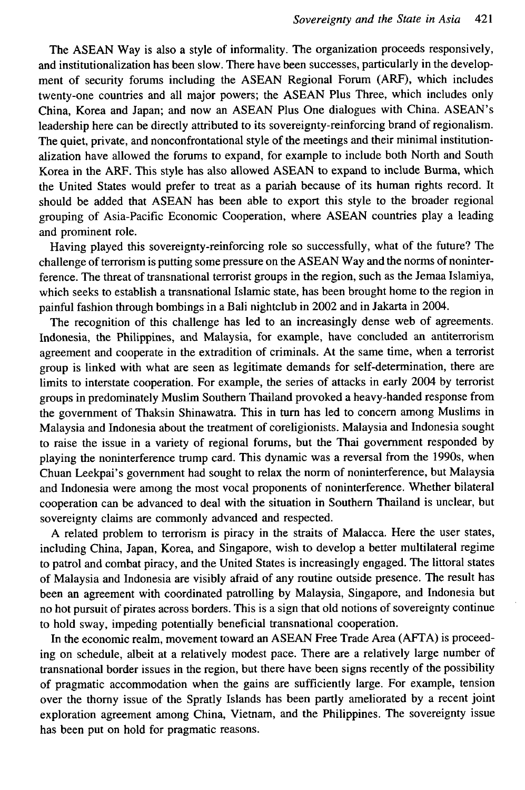The ASEAN Way is also a style of informality. The organization proceeds responsively, and institutionalization has been slow. There have been successes, particularly in the development of security forums including the ASEAN Regional Forum (ARF), which includes twenty-one countries and all major powers; the ASEAN Plus Three, which includes only China, Korea and Japan; and now an ASEAN Plus One dialogues with China. ASEAN's leadership here can be directly attributed to its sovereignty-reinforcing brand of regionalism. The quiet, private, and nonconfrontational style of the meetings and their minimal institutionalization have allowed the forums to expand, for example to include both North and South Korea in the ARF. This style has also allowed ASEAN to expand to include Burma, which the United States would prefer to treat as a pariah because of its human rights record. It should be added that ASEAN has been able to export this style to the broader regional grouping of Asia-Pacific Economic Cooperation, where ASEAN countries play a leading and prominent role.

Having played this sovereignty-reinforcing role so successfully, what of the future? The challenge of terrorism is putting some pressure on the ASEAN Way and the norms of noninterference. The threat of transnational terrorist groups in the region, such as the Jemaa Islamiya, which seeks to establish a transnational Islamic state, has been brought home to the region in painful fashion through bombings in a Bali nightclub in 2002 and in Jakarta in 2004.

The recognition of this challenge has led to an increasingly dense web of agreements. Indonesia, the Philippines, and Malaysia, for example, have concluded an antiterrorism agreement and cooperate in the extradition of criminals. At the same time, when a terrorist group is linked with what are seen as legitimate demands for self-determination, there are limits to interstate cooperation. For example, the series of attacks in early 2004 by terrorist groups in predominately Muslim Southern Thailand provoked a heavy-handed response from the government of Thaksin Shinawatra. This in turn has led to concern among Muslims in Malaysia and Indonesia about the treatment of coreligionists. Malaysia and Indonesia sought to raise the issue in a variety of regional forums, but the Thai government responded by playing the noninterference trump card. This dynamic was a reversal from the 1990s, when Chuan Leekpai's government had sought to relax the norm of noninterference, but Malaysia and Indonesia were among the most vocal proponents of noninterference. Whether bilateral cooperation can be advanced to deal with the situation in Southern Thailand is unclear, but sovereignty claims are commonly advanced and respected.

A related problem to terrorism is piracy in the straits of Malacca. Here the user states, including China, Japan, Korea, and Singapore, wish to develop a better multilateral regime to patrol and combat piracy, and the United States is increasingly engaged. The littoral states of Malaysia and Indonesia are visibly afraid of any routine outside presence. The result has been an agreement with coordinated patrolling by Malaysia, Singapore, and Indonesia but no hot pursuit of pirates across borders. This is a sign that old notions of sovereignty continue to hold sway, impeding potentially beneficial transnational cooperation.

In the economic realm, movement toward an ASEAN Free Trade Area (AFTA) is proceeding on schedule, albeit at a relatively modest pace. There are a relatively large number of transnational border issues in the region, but there have been signs recently of the possibility of pragmatic accommodation when the gains are sufficiently large. For example, tension over the thorny issue of the Spratly Islands has been partly ameliorated by a recent joint exploration agreement among China, Vietnam, and the Philippines. The sovereignty issue has been put on hold for pragmatic reasons.